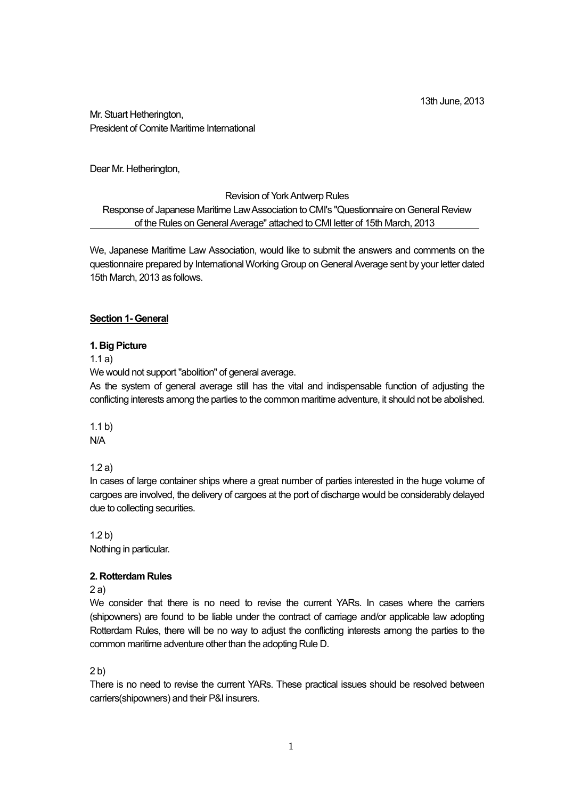13th June, 2013

Mr. Stuart Hetherington, President of Comite Maritime International

Dear Mr. Hetherington,

#### Revision of York Antwerp Rules

Response of Japanese Maritime Law Association to CMI's "Questionnaire on General Review of the Rules on General Average" attached to CMI letter of 15th March, 2013

We, Japanese Maritime Law Association, would like to submit the answers and comments on the questionnaire prepared by International Working Group on General Average sent by your letter dated 15th March, 2013 as follows.

#### **Section 1- General**

#### **1. Big Picture**

1.1 a)

We would not support "abolition" of general average.

As the system of general average still has the vital and indispensable function of adjusting the conflicting interests among the parties to the common maritime adventure, it should not be abolished.

1.1 b) N/A

1.2 a)

In cases of large container ships where a great number of parties interested in the huge volume of cargoes are involved, the delivery of cargoes at the port of discharge would be considerably delayed due to collecting securities.

1.2 b) Nothing in particular.

### **2. Rotterdam Rules**

2 a)

We consider that there is no need to revise the current YARs. In cases where the carriers (shipowners) are found to be liable under the contract of carriage and/or applicable law adopting Rotterdam Rules, there will be no way to adjust the conflicting interests among the parties to the common maritime adventure other than the adopting Rule D.

 $2<sub>b</sub>$ 

There is no need to revise the current YARs. These practical issues should be resolved between carriers(shipowners) and their P&I insurers.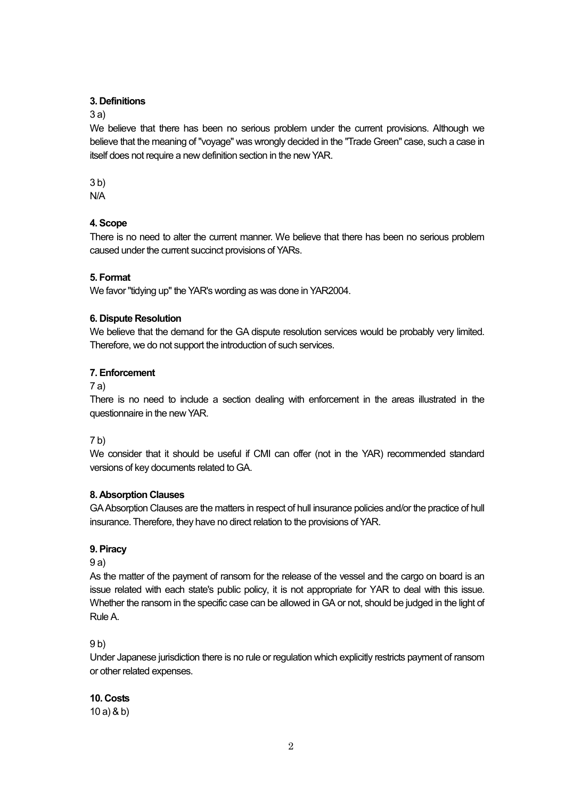### **3. Definitions**

3 a)

We believe that there has been no serious problem under the current provisions. Although we believe that the meaning of "voyage" was wrongly decided in the "Trade Green" case, such a case in itself does not require a new definition section in the new YAR.

3 b)

N/A

### **4. Scope**

There is no need to alter the current manner. We believe that there has been no serious problem caused under the current succinct provisions of YARs.

### **5. Format**

We favor "tidying up" the YAR's wording as was done in YAR2004.

### **6. Dispute Resolution**

We believe that the demand for the GA dispute resolution services would be probably very limited. Therefore, we do not support the introduction of such services.

### **7. Enforcement**

#### 7 a)

There is no need to include a section dealing with enforcement in the areas illustrated in the questionnaire in the new YAR.

### 7 b)

We consider that it should be useful if CMI can offer (not in the YAR) recommended standard versions of key documents related to GA.

### **8. Absorption Clauses**

GA Absorption Clauses are the matters in respect of hull insurance policies and/or the practice of hull insurance. Therefore, they have no direct relation to the provisions of YAR.

### **9. Piracy**

9 a)

As the matter of the payment of ransom for the release of the vessel and the cargo on board is an issue related with each state's public policy, it is not appropriate for YAR to deal with this issue. Whether the ransom in the specific case can be allowed in GA or not, should be judged in the light of Rule A.

### 9 b)

Under Japanese jurisdiction there is no rule or regulation which explicitly restricts payment of ransom or other related expenses.

# **10. Costs**

10 a) & b)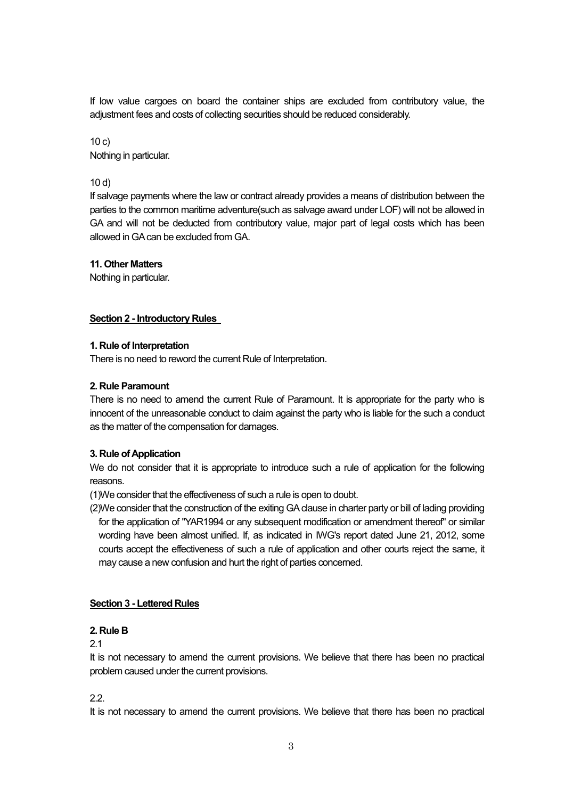If low value cargoes on board the container ships are excluded from contributory value, the adjustment fees and costs of collecting securities should be reduced considerably.

 $10 c)$ Nothing in particular.

10 d)

If salvage payments where the law or contract already provides a means of distribution between the parties to the common maritime adventure(such as salvage award under LOF) will not be allowed in GA and will not be deducted from contributory value, major part of legal costs which has been allowed in GA can be excluded from GA.

#### **11. Other Matters**

Nothing in particular.

#### **Section 2 - Introductory Rules**

#### **1. Rule of Interpretation**

There is no need to reword the current Rule of Interpretation.

#### **2. Rule Paramount**

There is no need to amend the current Rule of Paramount. It is appropriate for the party who is innocent of the unreasonable conduct to claim against the party who is liable for the such a conduct as the matter of the compensation for damages.

### **3. Rule of Application**

We do not consider that it is appropriate to introduce such a rule of application for the following reasons.

(1)We consider that the effectiveness of such a rule is open to doubt.

(2)We consider that the construction of the exiting GA clause in charter party or bill of lading providing for the application of "YAR1994 or any subsequent modification or amendment thereof" or similar wording have been almost unified. If, as indicated in IWG's report dated June 21, 2012, some courts accept the effectiveness of such a rule of application and other courts reject the same, it may cause a new confusion and hurt the right of parties concerned.

### **Section 3 - Lettered Rules**

#### **2. Rule B**

2.1

It is not necessary to amend the current provisions. We believe that there has been no practical problem caused under the current provisions.

### 2.2.

It is not necessary to amend the current provisions. We believe that there has been no practical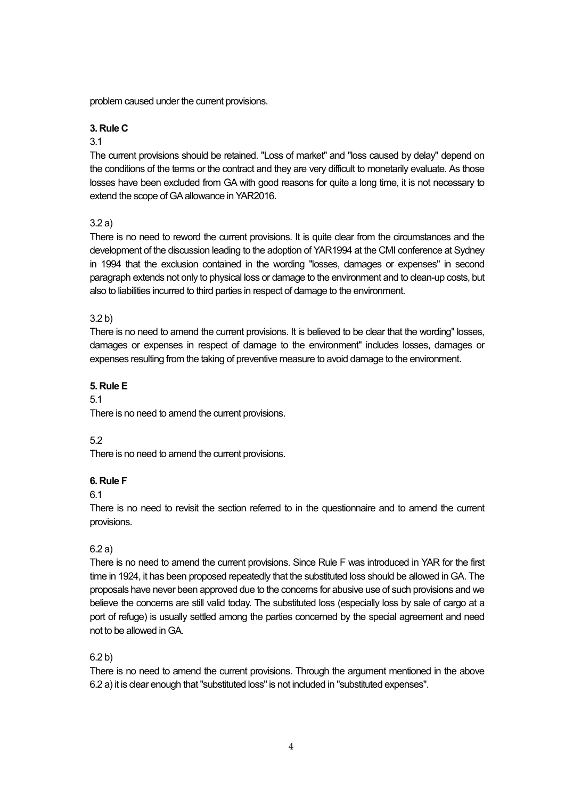problem caused under the current provisions.

#### **3. Rule C**

#### 3.1

The current provisions should be retained. "Loss of market" and "loss caused by delay" depend on the conditions of the terms or the contract and they are very difficult to monetarily evaluate. As those losses have been excluded from GA with good reasons for quite a long time, it is not necessary to extend the scope of GA allowance in YAR2016.

### 3.2 a)

There is no need to reword the current provisions. It is quite clear from the circumstances and the development of the discussion leading to the adoption of YAR1994 at the CMI conference at Sydney in 1994 that the exclusion contained in the wording "losses, damages or expenses" in second paragraph extends not only to physical loss or damage to the environment and to clean-up costs, but also to liabilities incurred to third parties in respect of damage to the environment.

### 3.2 b)

There is no need to amend the current provisions. It is believed to be clear that the wording" losses, damages or expenses in respect of damage to the environment" includes losses, damages or expenses resulting from the taking of preventive measure to avoid damage to the environment.

### **5. Rule E**

#### 5.1

There is no need to amend the current provisions.

### 5.2

There is no need to amend the current provisions.

### **6. Rule F**

### 6.1

There is no need to revisit the section referred to in the questionnaire and to amend the current provisions.

### 6.2 a)

There is no need to amend the current provisions. Since Rule F was introduced in YAR for the first time in 1924, it has been proposed repeatedly that the substituted loss should be allowed in GA. The proposals have never been approved due to the concerns for abusive use of such provisions and we believe the concerns are still valid today. The substituted loss (especially loss by sale of cargo at a port of refuge) is usually settled among the parties concerned by the special agreement and need not to be allowed in GA.

### 6.2 b)

There is no need to amend the current provisions. Through the argument mentioned in the above 6.2 a) it is clear enough that "substituted loss" is not included in "substituted expenses".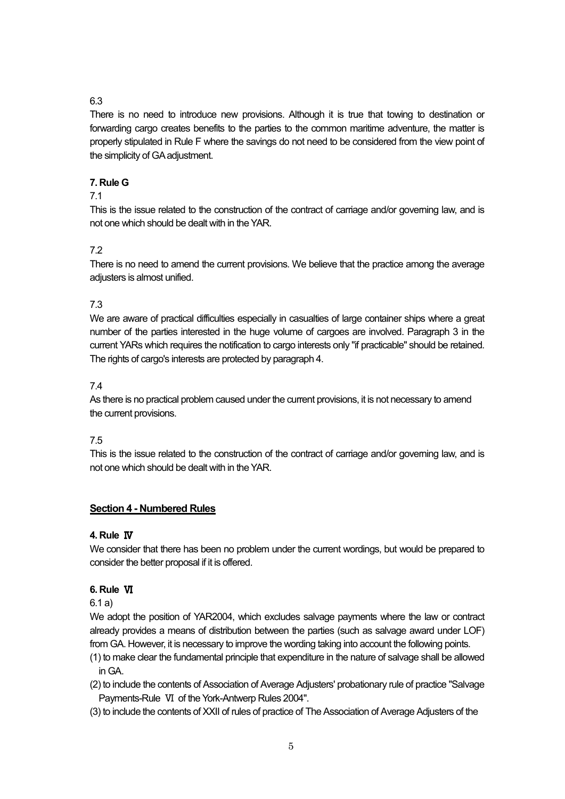# 6.3

There is no need to introduce new provisions. Although it is true that towing to destination or forwarding cargo creates benefits to the parties to the common maritime adventure, the matter is properly stipulated in Rule F where the savings do not need to be considered from the view point of the simplicity of GA adjustment.

### **7. Rule G**

### 7.1

This is the issue related to the construction of the contract of carriage and/or governing law, and is not one which should be dealt with in the YAR.

# 7.2

There is no need to amend the current provisions. We believe that the practice among the average adjusters is almost unified.

### 7.3

We are aware of practical difficulties especially in casualties of large container ships where a great number of the parties interested in the huge volume of cargoes are involved. Paragraph 3 in the current YARs which requires the notification to cargo interests only "if practicable" should be retained. The rights of cargo's interests are protected by paragraph 4.

### 7.4

As there is no practical problem caused under the current provisions, it is not necessary to amend the current provisions.

### 7.5

This is the issue related to the construction of the contract of carriage and/or governing law, and is not one which should be dealt with in the YAR.

### **Section 4 - Numbered Rules**

### **4. Rule** Ⅳ

We consider that there has been no problem under the current wordings, but would be prepared to consider the better proposal if it is offered.

### **6. Rule** Ⅵ

6.1 a)

We adopt the position of YAR2004, which excludes salvage payments where the law or contract already provides a means of distribution between the parties (such as salvage award under LOF) from GA. However, it is necessary to improve the wording taking into account the following points.

- (1) to make clear the fundamental principle that expenditure in the nature of salvage shall be allowed in GA.
- (2) to include the contents of Association of Average Adjusters' probationary rule of practice "Salvage Payments-Rule Ⅵ of the York-Antwerp Rules 2004".
- (3) to include the contents of XXII of rules of practice of The Association of Average Adjusters of the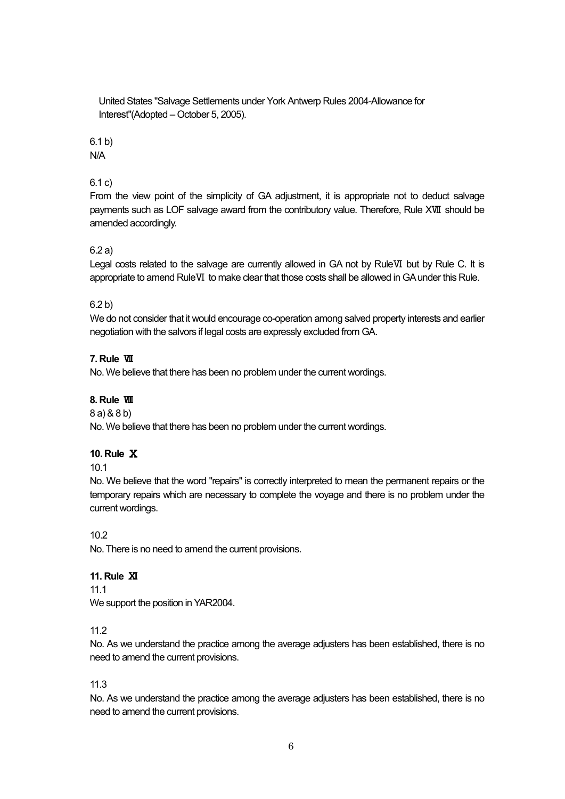United States "Salvage Settlements under York Antwerp Rules 2004-Allowance for Interest"(Adopted – October 5, 2005).

6.1 b)

N/A

### 6.1 c)

From the view point of the simplicity of GA adjustment, it is appropriate not to deduct salvage payments such as LOF salvage award from the contributory value. Therefore, Rule XⅦ should be amended accordingly.

### 6.2 a)

Legal costs related to the salvage are currently allowed in GA not by RuleⅥ but by Rule C. It is appropriate to amend RuleⅥ to make clear that those costs shall be allowed in GA under this Rule.

### 6.2 b)

We do not consider that it would encourage co-operation among salved property interests and earlier negotiation with the salvors if legal costs are expressly excluded from GA.

### **7. Rule** Ⅶ

No. We believe that there has been no problem under the current wordings.

### **8. Rule** Ⅷ

8 a) & 8 b)

No. We believe that there has been no problem under the current wordings.

### **10. Rule** Ⅹ

10.1

No. We believe that the word "repairs" is correctly interpreted to mean the permanent repairs or the temporary repairs which are necessary to complete the voyage and there is no problem under the current wordings.

### 10.2

No. There is no need to amend the current provisions.

### **11. Rule** Ⅺ

11.1

We support the position in YAR2004.

### 11.2

No. As we understand the practice among the average adjusters has been established, there is no need to amend the current provisions.

### 11.3

No. As we understand the practice among the average adjusters has been established, there is no need to amend the current provisions.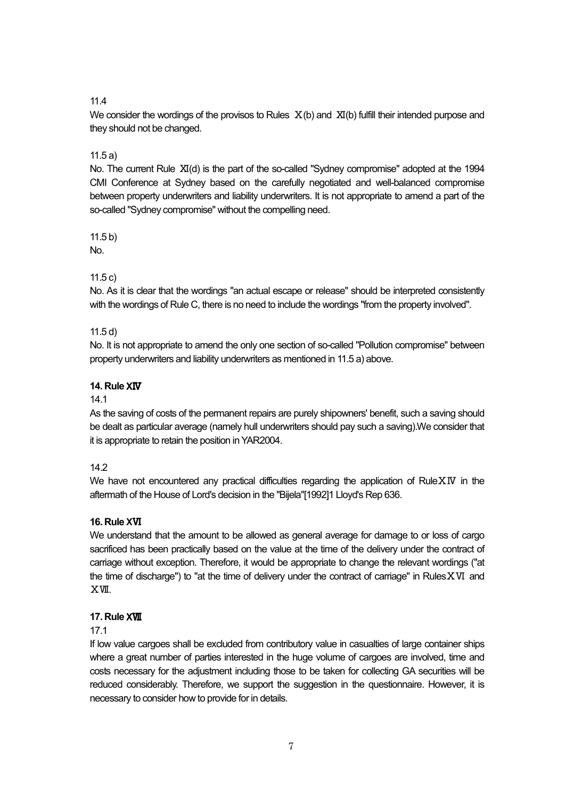### 11.4

We consider the wordings of the provisos to Rules  $X(b)$  and  $XI(b)$  fulfill their intended purpose and they should not be changed.

### 11.5 a)

No. The current Rule XI(d) is the part of the so-called "Sydney compromise" adopted at the 1994 CMI Conference at Sydney based on the carefully negotiated and well-balanced compromise between property underwriters and liability underwriters. It is not appropriate to amend a part of the so-called "Sydney compromise" without the compelling need.

11.5 b)

No.

# 11.5 c)

No. As it is clear that the wordings "an actual escape or release" should be interpreted consistently with the wordings of Rule C, there is no need to include the wordings "from the property involved".

### 11.5 d)

No. It is not appropriate to amend the only one section of so-called "Pollution compromise" between property underwriters and liability underwriters as mentioned in 11.5 a) above.

### **14. Rule** XⅣ

### 14.1

As the saving of costs of the permanent repairs are purely shipowners' benefit, such a saving should be dealt as particular average (namely hull underwriters should pay such a saving).We consider that it is appropriate to retain the position in YAR2004.

### 14.2

We have not encountered any practical difficulties regarding the application of RuleXIV in the aftermath of the House of Lord's decision in the "Bijela"[1992]1 Lloyd's Rep 636.

# **16. Rule** XⅥ

We understand that the amount to be allowed as general average for damage to or loss of cargo sacrificed has been practically based on the value at the time of the delivery under the contract of carriage without exception. Therefore, it would be appropriate to change the relevant wordings ("at the time of discharge") to "at the time of delivery under the contract of carriage" in RulesⅩⅥ and ⅩⅦ.

# **17. Rule** XⅦ

### 17.1

If low value cargoes shall be excluded from contributory value in casualties of large container ships where a great number of parties interested in the huge volume of cargoes are involved, time and costs necessary for the adjustment including those to be taken for collecting GA securities will be reduced considerably. Therefore, we support the suggestion in the questionnaire. However, it is necessary to consider how to provide for in details.